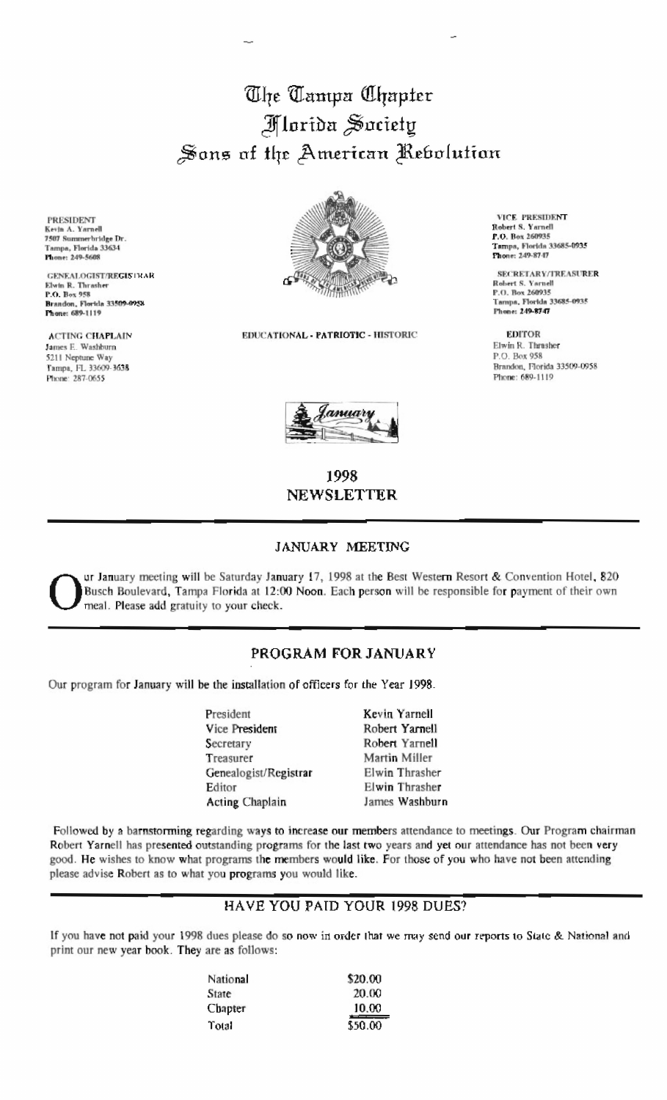# The Tampa Chapter Alorida Society Sons of the American Rebolution

**PRESIDENT** Kevin A. Yarnell<br>7507 Summerbridge Dr. Tampa, Florida 33634 **Fhone: 249-5608** 

**GENEALOGIST/REGISTHAR** Elwin R. Thrasher<br>P.O. Box 958 Brandon, Florida 33509-0958

**ACTING CHAPLAIN** James E. Washburn 5211 Neptune Way Tampa, FL 33609-3638 Phone: 287-0655



EDUCATIONAL - PATRIOTIC - HISTORIC



## 1998 **NEWSLETTER**

#### JANUARY MEETING

ur January meeting will be Saturday January 17, 1998 at the Best Western Resort & Convention Hotel, 820 Busch Boulevard, Tampa Florida at 12:00 Noon. Each person will be responsible for payment of their own meal. Please add gratuity to your check.

### PROGRAM FOR JANUARY

Our program for January will be the installation of officers for the Year 1998.

| President              | Kevin Yarnell  |
|------------------------|----------------|
| Vice President         | Robert Yarnell |
| Secretary              | Robert Yarnell |
| Treasurer              | Martin Miller  |
| Genealogist/Registrar  | Elwin Thrasher |
| Editor                 | Elwin Thrasher |
| <b>Acting Chaplain</b> | James Washburn |

Followed by a barnstorming regarding ways to increase our members attendance to meetings. Our Program chairman Robert Yarnell has presented outstanding programs for the last two years and yet our attendance has not been very good. He wishes to know what programs the members would like. For those of you who have not been attending please advise Robert as to what you programs you would like.

## HAVE YOU PAID YOUR 1998 DUES?

If you have not paid your 1998 dues please do so now in order that we may send our reports to State & National and print our new year book. They are as follows:

| National     | \$20.00                        |
|--------------|--------------------------------|
| <b>State</b> | 20.00                          |
| Chapter      | 10.00<br><b>Report Follows</b> |
| Total        | \$50.00                        |

VICE PRESIDENT Robert S. Yarnell<br>P.O. Box 260935 Tampa, Florida 33685-0935 Phone: 249-8747

**SECRETARY/TREASURER** Robert S. Yarnell P.O. Box 260935 Tampa, Florida 33685-0935 Phone: 249-8747

**EDITOR** Elwin R. Thrasher P.O. Box 958 Brandon, Florida 33509-0958 Phone: 689-1119